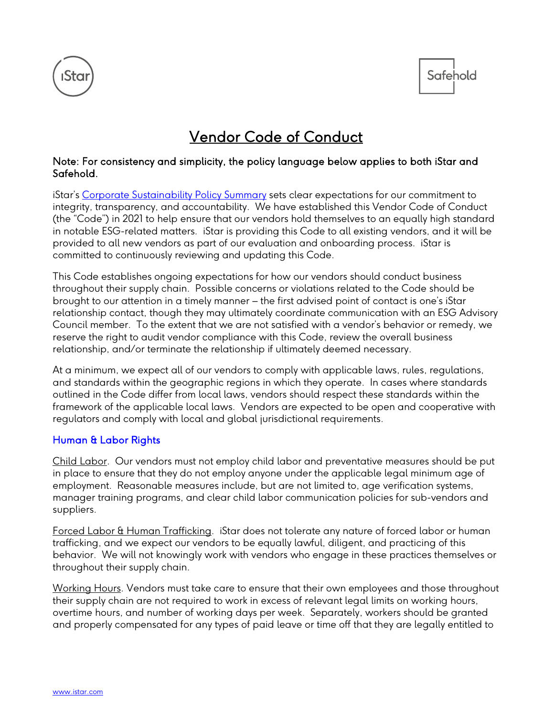



# Vendor Code of Conduct

#### Note: For consistency and simplicity, the policy language below applies to both iStar and Safehold.

iStar's [Corporate Sustainability Policy Summary](http://www.istar.com/wp-content/uploads/2022/04/Safehold-CSPS-April-2022.pdf) sets clear expectations for our commitment to integrity, transparency, and accountability. We have established this Vendor Code of Conduct (the "Code") in 2021 to help ensure that our vendors hold themselves to an equally high standard in notable ESG-related matters. iStar is providing this Code to all existing vendors, and it will be provided to all new vendors as part of our evaluation and onboarding process. iStar is committed to continuously reviewing and updating this Code.

This Code establishes ongoing expectations for how our vendors should conduct business throughout their supply chain. Possible concerns or violations related to the Code should be brought to our attention in a timely manner – the first advised point of contact is one's iStar relationship contact, though they may ultimately coordinate communication with an ESG Advisory Council member. To the extent that we are not satisfied with a vendor's behavior or remedy, we reserve the right to audit vendor compliance with this Code, review the overall business relationship, and/or terminate the relationship if ultimately deemed necessary.

At a minimum, we expect all of our vendors to comply with applicable laws, rules, regulations, and standards within the geographic regions in which they operate. In cases where standards outlined in the Code differ from local laws, vendors should respect these standards within the framework of the applicable local laws. Vendors are expected to be open and cooperative with regulators and comply with local and global jurisdictional requirements.

#### Human & Labor Rights

Child Labor. Our vendors must not employ child labor and preventative measures should be put in place to ensure that they do not employ anyone under the applicable legal minimum age of employment. Reasonable measures include, but are not limited to, age verification systems, manager training programs, and clear child labor communication policies for sub-vendors and suppliers.

Forced Labor & Human Trafficking. iStar does not tolerate any nature of forced labor or human trafficking, and we expect our vendors to be equally lawful, diligent, and practicing of this behavior. We will not knowingly work with vendors who engage in these practices themselves or throughout their supply chain.

Working Hours. Vendors must take care to ensure that their own employees and those throughout their supply chain are not required to work in excess of relevant legal limits on working hours, overtime hours, and number of working days per week. Separately, workers should be granted and properly compensated for any types of paid leave or time off that they are legally entitled to